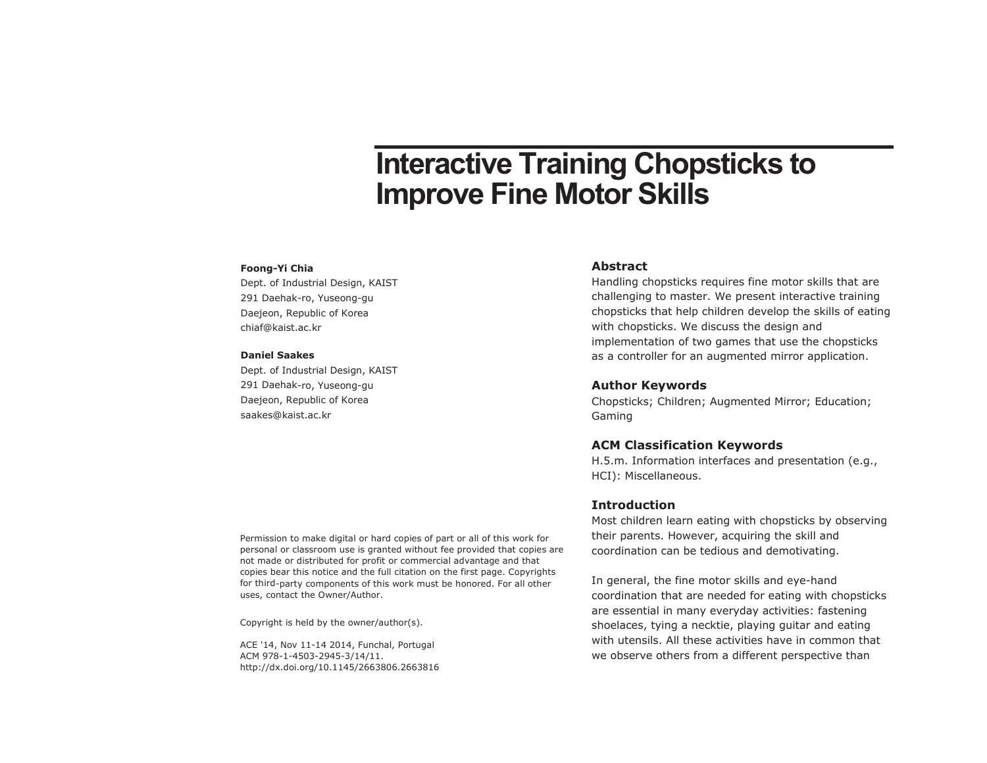# **Interactive Training Chopsticks to Improve Fine Motor Skills**

#### **Foong-Yi Chia**

Dept. of Industrial Design, KAIST 291 Daehak-ro, Yuseong-gu Daejeon, Republic of Korea chiaf@kaist.ac.kr

#### **Daniel Saakes**

Dept. of Industrial Design, KAIST 291 Daehak-ro, Yuseong-gu Daejeon, Republic of Korea saakes@kaist.ac.kr

#### **Abstract**

Handling chopsticks requires fine motor skills that are challenging to master. We present interactive training chopsticks that help children develop the skills of eating with chopsticks. We discuss the design and implementation of two games that use the chopsticks as a controller for an augmented mirror application.

# **Author Keywords**

Chopsticks; Children; Augmented Mirror; Education; Gaming

#### **ACM Classification Keywords**

H.5.m. Information interfaces and presentation (e.g., HCI): Miscellaneous.

### **Introduction**

Most children learn eating with chopsticks by observing their parents. However, acquiring the skill and coordination can be tedious and demotivating.

In general, the fine motor skills and eye-hand coordination that are needed for eating with chopsticks are essential in many everyday activities: fastening shoelaces, tying a necktie, playing guitar and eating with utensils. All these activities have in common that we observe others from a different perspective than

Permission to make digital or hard copies of part or all of this work for personal or classroom use is granted without fee provided that copies are not made or distributed for profit or commercial advantage and that copies bear this notice and the full citation on the first page. Copyrights for third-party components of this work must be honored. For all other uses, contact the Owner/Author.

Copyright is held by the owner/author(s).

ACE '14, Nov 11-14 2014, Funchal, Portugal ACM 978-1-4503-2945-3/14/11. http://dx.doi.org/10.1145/2663806.2663816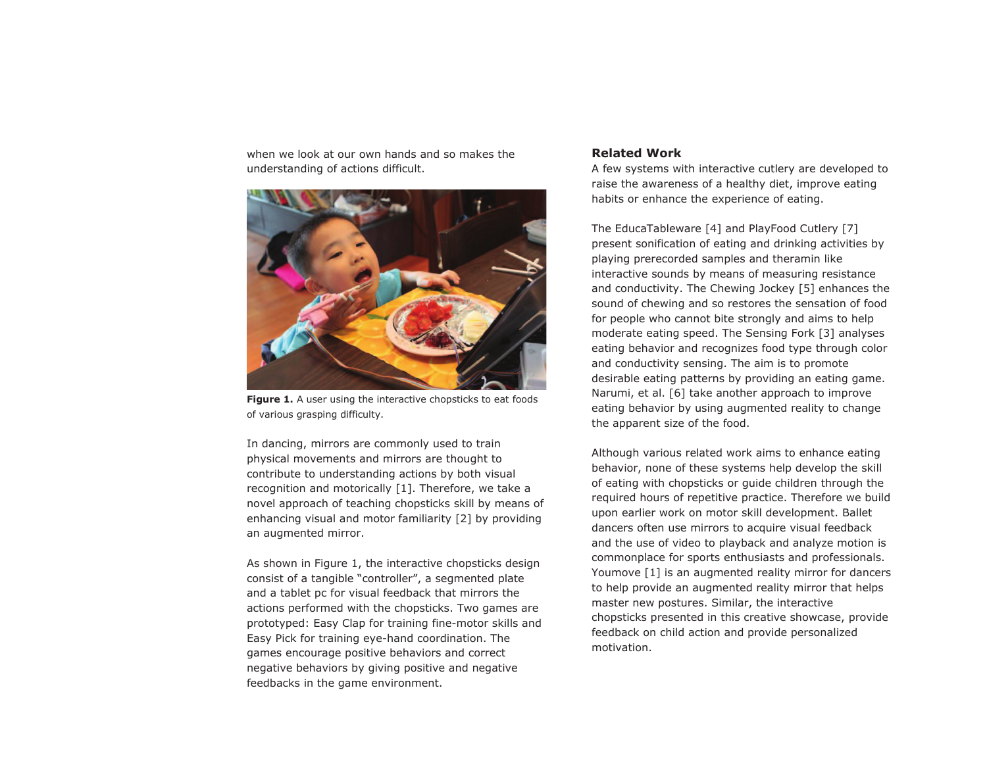when we look at our own hands and so makes the understanding of actions difficult.



**Figure 1.** A user using the interactive chopsticks to eat foods of various grasping difficulty.

In dancing, mirrors are commonly used to train physical movements and mirrors are thought to contribute to understanding actions by both visual recognition and motorically [1]. Therefore, we take a novel approach of teaching chopsticks skill by means of enhancing visual and motor familiarity [2] by providing an augmented mirror.

As shown in Figure 1, the interactive chopsticks design consist of a tangible "controller", a segmented plate and a tablet pc for visual feedback that mirrors the actions performed with the chopsticks. Two games are prototyped: Easy Clap for training fine-motor skills and Easy Pick for training eye-hand coordination. The games encourage positive behaviors and correct negative behaviors by giving positive and negative feedbacks in the game environment.

### **Related Work**

A few systems with interactive cutlery are developed to raise the awareness of a healthy diet, improve eating habits or enhance the experience of eating.

The EducaTableware [4] and PlayFood Cutlery [7] present sonification of eating and drinking activities by playing prerecorded samples and theramin like interactive sounds by means of measuring resistance and conductivity. The Chewing Jockey [5] enhances the sound of chewing and so restores the sensation of food for people who cannot bite strongly and aims to help moderate eating speed. The Sensing Fork [3] analyses eating behavior and recognizes food type through color and conductivity sensing. The aim is to promote desirable eating patterns by providing an eating game. Narumi, et al. [6] take another approach to improve eating behavior by using augmented reality to change the apparent size of the food.

Although various related work aims to enhance eating behavior, none of these systems help develop the skill of eating with chopsticks or guide children through the required hours of repetitive practice. Therefore we build upon earlier work on motor skill development. Ballet dancers often use mirrors to acquire visual feedback and the use of video to playback and analyze motion is commonplace for sports enthusiasts and professionals. Youmove [1] is an augmented reality mirror for dancers to help provide an augmented reality mirror that helps master new postures. Similar, the interactive chopsticks presented in this creative showcase, provide feedback on child action and provide personalized motivation.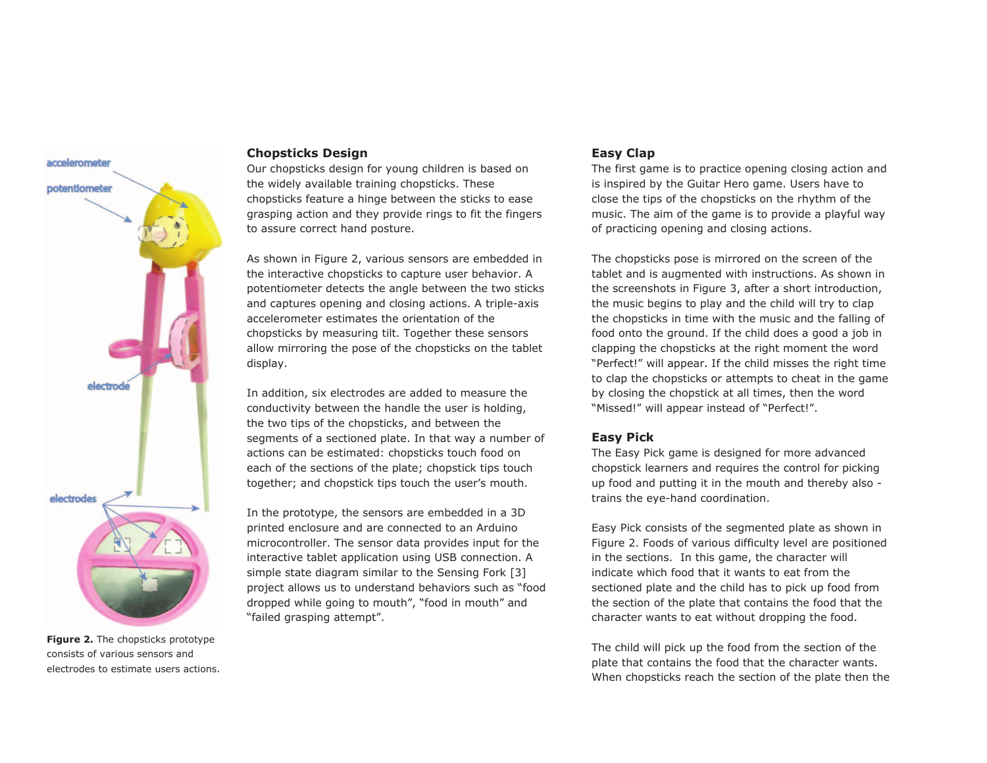

**Figure 2.** The chopsticks prototype consists of various sensors and electrodes to estimate users actions.

## **Chopsticks Design**

Our chopsticks design for young children is based on the widely available training chopsticks. These chopsticks feature a hinge between the sticks to ease grasping action and they provide rings to fit the fingers to assure correct hand posture.

As shown in Figure 2, various sensors are embedded in the interactive chopsticks to capture user behavior. A potentiometer detects the angle between the two sticks and captures opening and closing actions. A triple-axis accelerometer estimates the orientation of the chopsticks by measuring tilt. Together these sensors allow mirroring the pose of the chopsticks on the tablet display.

In addition, six electrodes are added to measure the conductivity between the handle the user is holding, the two tips of the chopsticks, and between the segments of a sectioned plate. In that way a number of actions can be estimated: chopsticks touch food on each of the sections of the plate; chopstick tips touch together; and chopstick tips touch the user's mouth.

In the prototype, the sensors are embedded in a 3D printed enclosure and are connected to an Arduino microcontroller. The sensor data provides input for the interactive tablet application using USB connection. A simple state diagram similar to the Sensing Fork [3] project allows us to understand behaviors such as "food dropped while going to mouth", "food in mouth" and "failed grasping attempt".

# **Easy Clap**

The first game is to practice opening closing action and is inspired by the Guitar Hero game. Users have to close the tips of the chopsticks on the rhythm of the music. The aim of the game is to provide a playful way of practicing opening and closing actions.

The chopsticks pose is mirrored on the screen of the tablet and is augmented with instructions. As shown in the screenshots in Figure 3, after a short introduction, the music begins to play and the child will try to clap the chopsticks in time with the music and the falling of food onto the ground. If the child does a good a job in clapping the chopsticks at the right moment the word "Perfect!" will appear. If the child misses the right time to clap the chopsticks or attempts to cheat in the game by closing the chopstick at all times, then the word "Missed!" will appear instead of "Perfect!".

## **Easy Pick**

The Easy Pick game is designed for more advanced chopstick learners and requires the control for picking up food and putting it in the mouth and thereby also trains the eye-hand coordination.

Easy Pick consists of the segmented plate as shown in Figure 2. Foods of various difficulty level are positioned in the sections. In this game, the character will indicate which food that it wants to eat from the sectioned plate and the child has to pick up food from the section of the plate that contains the food that the character wants to eat without dropping the food.

The child will pick up the food from the section of the plate that contains the food that the character wants. When chopsticks reach the section of the plate then the